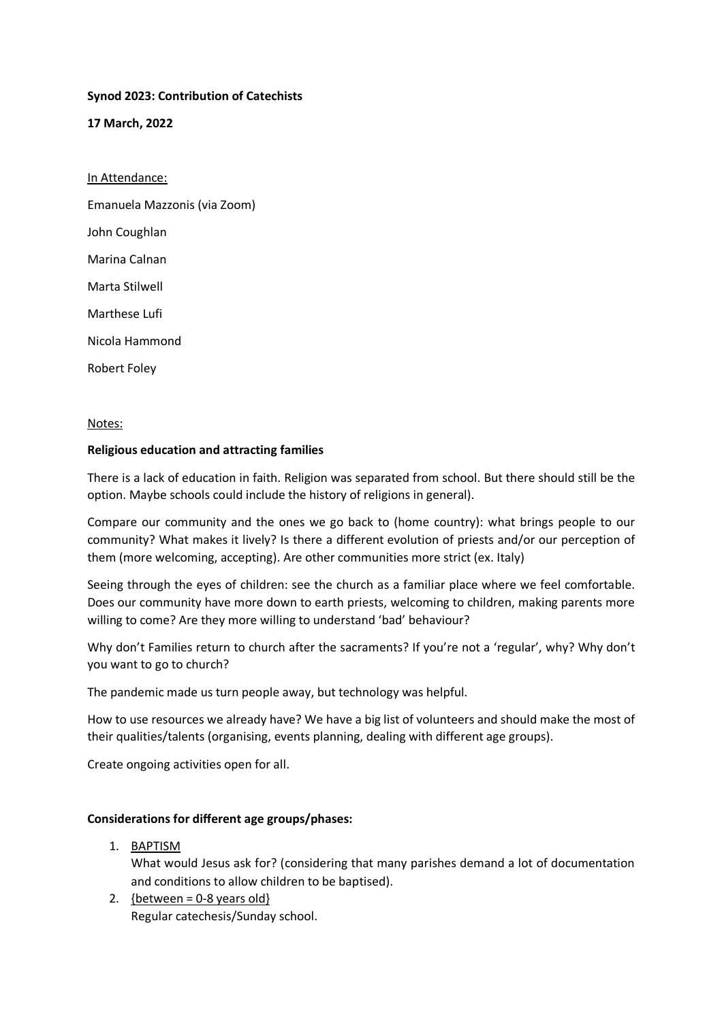## **Synod 2023: Contribution of Catechists**

**17 March, 2022**

In Attendance: Emanuela Mazzonis (via Zoom) John Coughlan Marina Calnan Marta Stilwell Marthese Lufi Nicola Hammond

Robert Foley

#### Notes:

### **Religious education and attracting families**

There is a lack of education in faith. Religion was separated from school. But there should still be the option. Maybe schools could include the history of religions in general).

Compare our community and the ones we go back to (home country): what brings people to our community? What makes it lively? Is there a different evolution of priests and/or our perception of them (more welcoming, accepting). Are other communities more strict (ex. Italy)

Seeing through the eyes of children: see the church as a familiar place where we feel comfortable. Does our community have more down to earth priests, welcoming to children, making parents more willing to come? Are they more willing to understand 'bad' behaviour?

Why don't Families return to church after the sacraments? If you're not a 'regular', why? Why don't you want to go to church?

The pandemic made us turn people away, but technology was helpful.

How to use resources we already have? We have a big list of volunteers and should make the most of their qualities/talents (organising, events planning, dealing with different age groups).

Create ongoing activities open for all.

### **Considerations for different age groups/phases:**

1. BAPTISM

What would Jesus ask for? (considering that many parishes demand a lot of documentation and conditions to allow children to be baptised).

2.  ${bestween = 0-8 years old}$ Regular catechesis/Sunday school.